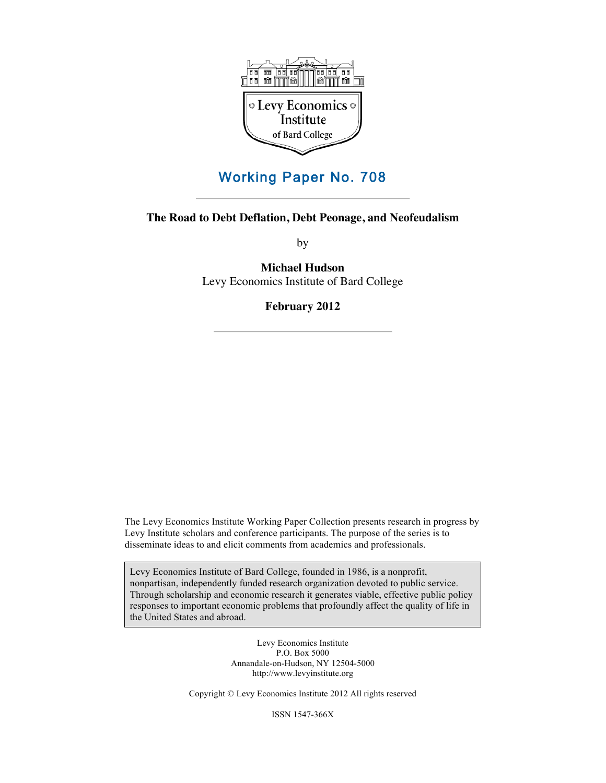

# Working Paper No. 708

## **The Road to Debt Deflation, Debt Peonage, and Neofeudalism**

by

**Michael Hudson** Levy Economics Institute of Bard College

**February 2012**

The Levy Economics Institute Working Paper Collection presents research in progress by Levy Institute scholars and conference participants. The purpose of the series is to disseminate ideas to and elicit comments from academics and professionals.

Levy Economics Institute of Bard College, founded in 1986, is a nonprofit, nonpartisan, independently funded research organization devoted to public service. Through scholarship and economic research it generates viable, effective public policy responses to important economic problems that profoundly affect the quality of life in the United States and abroad.

> Levy Economics Institute P.O. Box 5000 Annandale-on-Hudson, NY 12504-5000 http://www.levyinstitute.org

Copyright © Levy Economics Institute 2012 All rights reserved

ISSN 1547-366X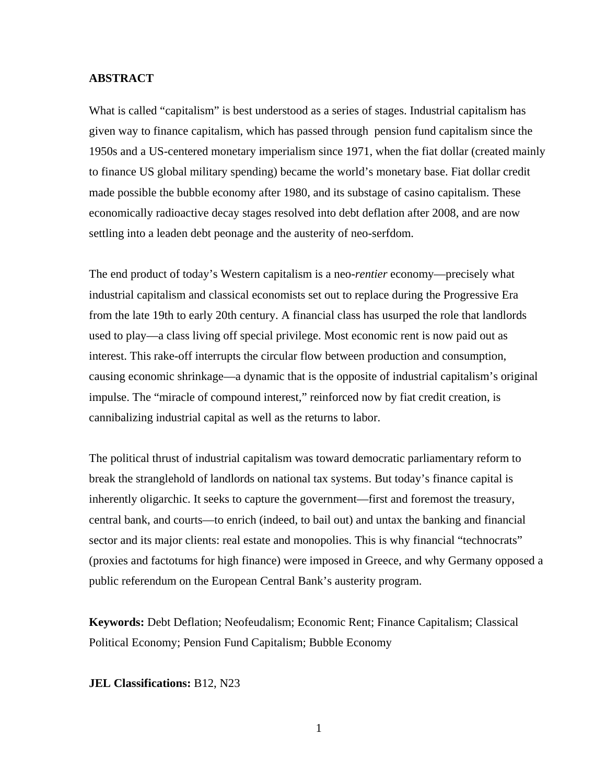### **ABSTRACT**

What is called "capitalism" is best understood as a series of stages. Industrial capitalism has given way to finance capitalism, which has passed through pension fund capitalism since the 1950s and a US-centered monetary imperialism since 1971, when the fiat dollar (created mainly to finance US global military spending) became the world's monetary base. Fiat dollar credit made possible the bubble economy after 1980, and its substage of casino capitalism. These economically radioactive decay stages resolved into debt deflation after 2008, and are now settling into a leaden debt peonage and the austerity of neo-serfdom.

The end product of today's Western capitalism is a neo-*rentier* economy—precisely what industrial capitalism and classical economists set out to replace during the Progressive Era from the late 19th to early 20th century. A financial class has usurped the role that landlords used to play—a class living off special privilege. Most economic rent is now paid out as interest. This rake-off interrupts the circular flow between production and consumption, causing economic shrinkage—a dynamic that is the opposite of industrial capitalism's original impulse. The "miracle of compound interest," reinforced now by fiat credit creation, is cannibalizing industrial capital as well as the returns to labor.

The political thrust of industrial capitalism was toward democratic parliamentary reform to break the stranglehold of landlords on national tax systems. But today's finance capital is inherently oligarchic. It seeks to capture the government—first and foremost the treasury, central bank, and courts—to enrich (indeed, to bail out) and untax the banking and financial sector and its major clients: real estate and monopolies. This is why financial "technocrats" (proxies and factotums for high finance) were imposed in Greece, and why Germany opposed a public referendum on the European Central Bank's austerity program.

**Keywords:** Debt Deflation; Neofeudalism; Economic Rent; Finance Capitalism; Classical Political Economy; Pension Fund Capitalism; Bubble Economy

**JEL Classifications:** B12, N23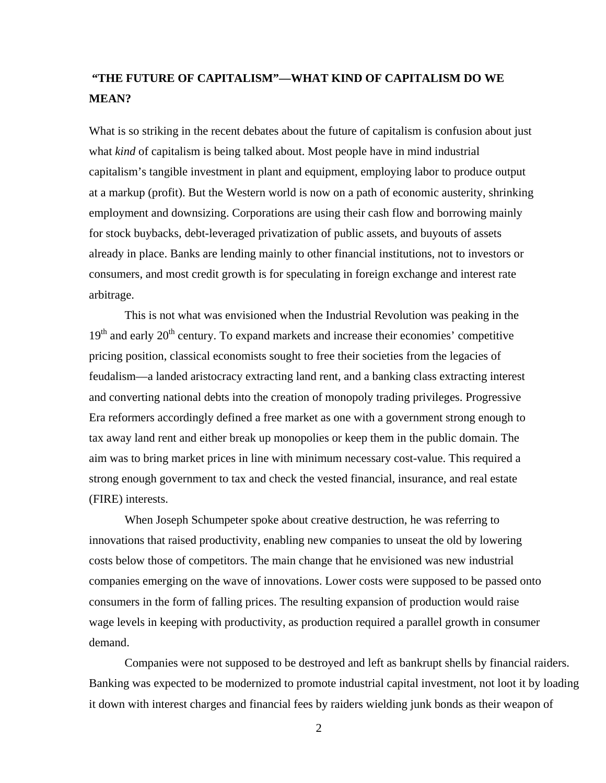## **"THE FUTURE OF CAPITALISM"—WHAT KIND OF CAPITALISM DO WE MEAN?**

What is so striking in the recent debates about the future of capitalism is confusion about just what *kind* of capitalism is being talked about. Most people have in mind industrial capitalism's tangible investment in plant and equipment, employing labor to produce output at a markup (profit). But the Western world is now on a path of economic austerity, shrinking employment and downsizing. Corporations are using their cash flow and borrowing mainly for stock buybacks, debt-leveraged privatization of public assets, and buyouts of assets already in place. Banks are lending mainly to other financial institutions, not to investors or consumers, and most credit growth is for speculating in foreign exchange and interest rate arbitrage.

 This is not what was envisioned when the Industrial Revolution was peaking in the  $19<sup>th</sup>$  and early  $20<sup>th</sup>$  century. To expand markets and increase their economies' competitive pricing position, classical economists sought to free their societies from the legacies of feudalism—a landed aristocracy extracting land rent, and a banking class extracting interest and converting national debts into the creation of monopoly trading privileges. Progressive Era reformers accordingly defined a free market as one with a government strong enough to tax away land rent and either break up monopolies or keep them in the public domain. The aim was to bring market prices in line with minimum necessary cost-value. This required a strong enough government to tax and check the vested financial, insurance, and real estate (FIRE) interests.

 When Joseph Schumpeter spoke about creative destruction, he was referring to innovations that raised productivity, enabling new companies to unseat the old by lowering costs below those of competitors. The main change that he envisioned was new industrial companies emerging on the wave of innovations. Lower costs were supposed to be passed onto consumers in the form of falling prices. The resulting expansion of production would raise wage levels in keeping with productivity, as production required a parallel growth in consumer demand.

 Companies were not supposed to be destroyed and left as bankrupt shells by financial raiders. Banking was expected to be modernized to promote industrial capital investment, not loot it by loading it down with interest charges and financial fees by raiders wielding junk bonds as their weapon of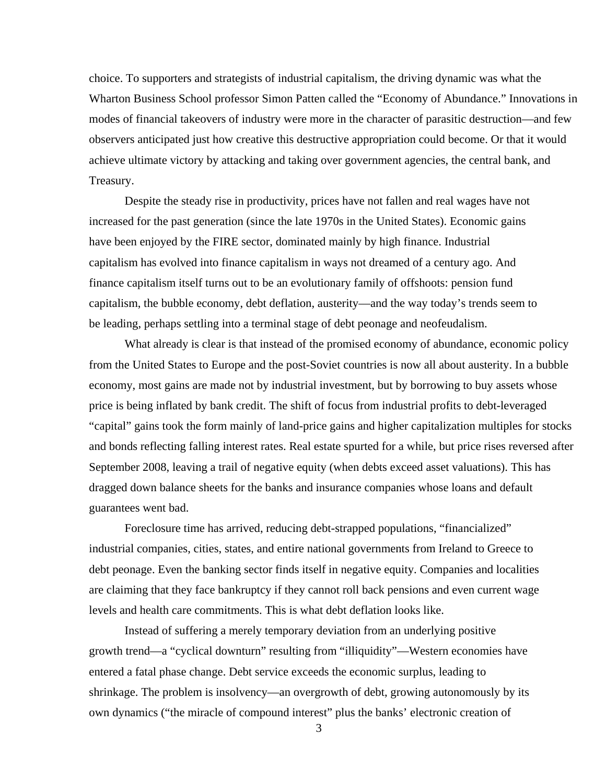choice. To supporters and strategists of industrial capitalism, the driving dynamic was what the Wharton Business School professor Simon Patten called the "Economy of Abundance." Innovations in modes of financial takeovers of industry were more in the character of parasitic destruction—and few observers anticipated just how creative this destructive appropriation could become. Or that it would achieve ultimate victory by attacking and taking over government agencies, the central bank, and Treasury.

 Despite the steady rise in productivity, prices have not fallen and real wages have not increased for the past generation (since the late 1970s in the United States). Economic gains have been enjoyed by the FIRE sector, dominated mainly by high finance. Industrial capitalism has evolved into finance capitalism in ways not dreamed of a century ago. And finance capitalism itself turns out to be an evolutionary family of offshoots: pension fund capitalism, the bubble economy, debt deflation, austerity—and the way today's trends seem to be leading, perhaps settling into a terminal stage of debt peonage and neofeudalism.

 What already is clear is that instead of the promised economy of abundance, economic policy from the United States to Europe and the post-Soviet countries is now all about austerity. In a bubble economy, most gains are made not by industrial investment, but by borrowing to buy assets whose price is being inflated by bank credit. The shift of focus from industrial profits to debt-leveraged "capital" gains took the form mainly of land-price gains and higher capitalization multiples for stocks and bonds reflecting falling interest rates. Real estate spurted for a while, but price rises reversed after September 2008, leaving a trail of negative equity (when debts exceed asset valuations). This has dragged down balance sheets for the banks and insurance companies whose loans and default guarantees went bad.

 Foreclosure time has arrived, reducing debt-strapped populations, "financialized" industrial companies, cities, states, and entire national governments from Ireland to Greece to debt peonage. Even the banking sector finds itself in negative equity. Companies and localities are claiming that they face bankruptcy if they cannot roll back pensions and even current wage levels and health care commitments. This is what debt deflation looks like.

 Instead of suffering a merely temporary deviation from an underlying positive growth trend—a "cyclical downturn" resulting from "illiquidity"—Western economies have entered a fatal phase change. Debt service exceeds the economic surplus, leading to shrinkage. The problem is insolvency—an overgrowth of debt, growing autonomously by its own dynamics ("the miracle of compound interest" plus the banks' electronic creation of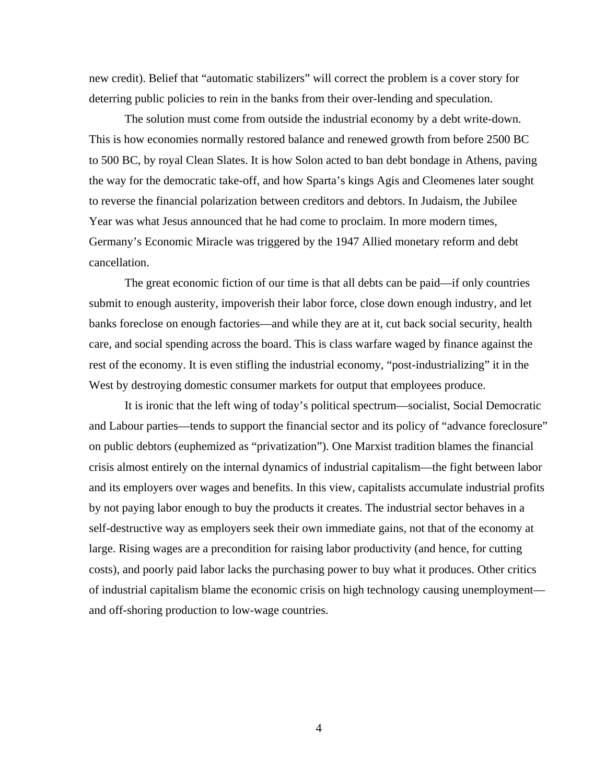new credit). Belief that "automatic stabilizers" will correct the problem is a cover story for deterring public policies to rein in the banks from their over-lending and speculation.

 The solution must come from outside the industrial economy by a debt write-down. This is how economies normally restored balance and renewed growth from before 2500 BC to 500 BC, by royal Clean Slates. It is how Solon acted to ban debt bondage in Athens, paving the way for the democratic take-off, and how Sparta's kings Agis and Cleomenes later sought to reverse the financial polarization between creditors and debtors. In Judaism, the Jubilee Year was what Jesus announced that he had come to proclaim. In more modern times, Germany's Economic Miracle was triggered by the 1947 Allied monetary reform and debt cancellation.

 The great economic fiction of our time is that all debts can be paid—if only countries submit to enough austerity, impoverish their labor force, close down enough industry, and let banks foreclose on enough factories—and while they are at it, cut back social security, health care, and social spending across the board. This is class warfare waged by finance against the rest of the economy. It is even stifling the industrial economy, "post-industrializing" it in the West by destroying domestic consumer markets for output that employees produce.

 It is ironic that the left wing of today's political spectrum—socialist, Social Democratic and Labour parties—tends to support the financial sector and its policy of "advance foreclosure" on public debtors (euphemized as "privatization"). One Marxist tradition blames the financial crisis almost entirely on the internal dynamics of industrial capitalism—the fight between labor and its employers over wages and benefits. In this view, capitalists accumulate industrial profits by not paying labor enough to buy the products it creates. The industrial sector behaves in a self-destructive way as employers seek their own immediate gains, not that of the economy at large. Rising wages are a precondition for raising labor productivity (and hence, for cutting costs), and poorly paid labor lacks the purchasing power to buy what it produces. Other critics of industrial capitalism blame the economic crisis on high technology causing unemployment and off-shoring production to low-wage countries.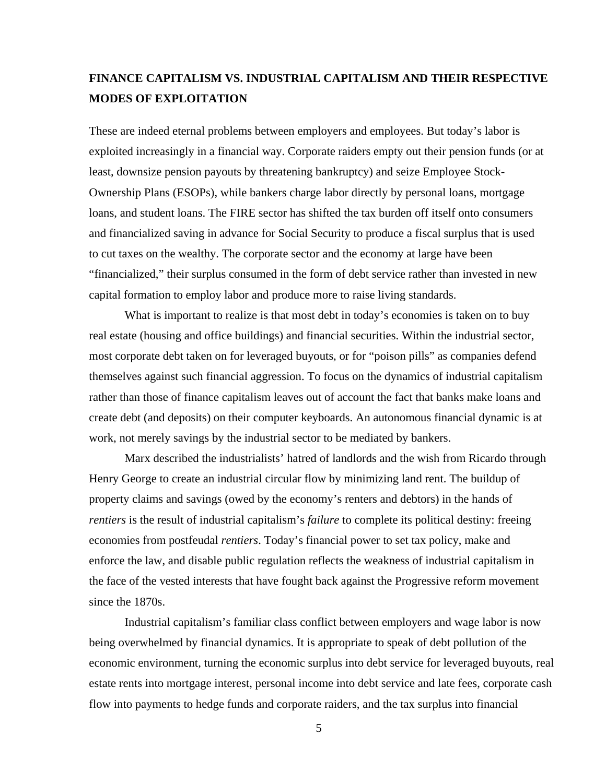## **FINANCE CAPITALISM VS. INDUSTRIAL CAPITALISM AND THEIR RESPECTIVE MODES OF EXPLOITATION**

These are indeed eternal problems between employers and employees. But today's labor is exploited increasingly in a financial way. Corporate raiders empty out their pension funds (or at least, downsize pension payouts by threatening bankruptcy) and seize Employee Stock-Ownership Plans (ESOPs), while bankers charge labor directly by personal loans, mortgage loans, and student loans. The FIRE sector has shifted the tax burden off itself onto consumers and financialized saving in advance for Social Security to produce a fiscal surplus that is used to cut taxes on the wealthy. The corporate sector and the economy at large have been "financialized," their surplus consumed in the form of debt service rather than invested in new capital formation to employ labor and produce more to raise living standards.

What is important to realize is that most debt in today's economies is taken on to buy real estate (housing and office buildings) and financial securities. Within the industrial sector, most corporate debt taken on for leveraged buyouts, or for "poison pills" as companies defend themselves against such financial aggression. To focus on the dynamics of industrial capitalism rather than those of finance capitalism leaves out of account the fact that banks make loans and create debt (and deposits) on their computer keyboards. An autonomous financial dynamic is at work, not merely savings by the industrial sector to be mediated by bankers.

 Marx described the industrialists' hatred of landlords and the wish from Ricardo through Henry George to create an industrial circular flow by minimizing land rent. The buildup of property claims and savings (owed by the economy's renters and debtors) in the hands of *rentiers* is the result of industrial capitalism's *failure* to complete its political destiny: freeing economies from postfeudal *rentiers*. Today's financial power to set tax policy, make and enforce the law, and disable public regulation reflects the weakness of industrial capitalism in the face of the vested interests that have fought back against the Progressive reform movement since the 1870s.

 Industrial capitalism's familiar class conflict between employers and wage labor is now being overwhelmed by financial dynamics. It is appropriate to speak of debt pollution of the economic environment, turning the economic surplus into debt service for leveraged buyouts, real estate rents into mortgage interest, personal income into debt service and late fees, corporate cash flow into payments to hedge funds and corporate raiders, and the tax surplus into financial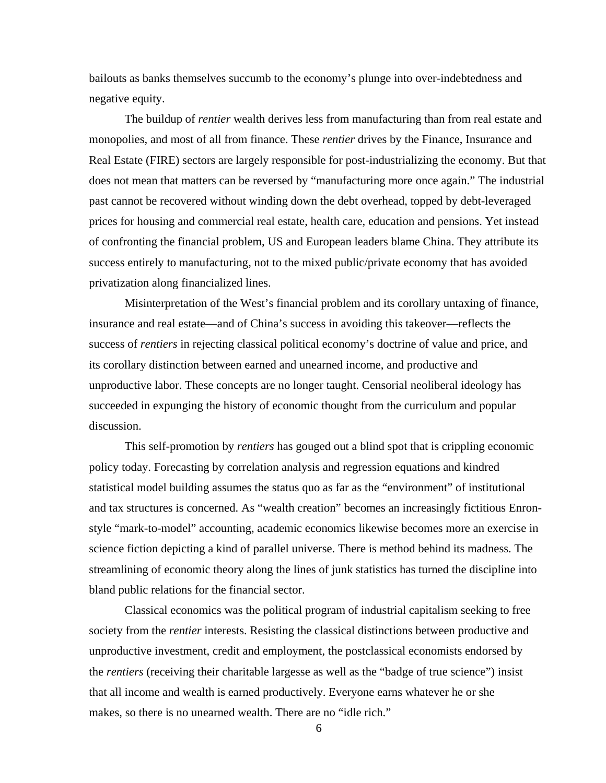bailouts as banks themselves succumb to the economy's plunge into over-indebtedness and negative equity.

 The buildup of *rentier* wealth derives less from manufacturing than from real estate and monopolies, and most of all from finance. These *rentier* drives by the Finance, Insurance and Real Estate (FIRE) sectors are largely responsible for post-industrializing the economy. But that does not mean that matters can be reversed by "manufacturing more once again." The industrial past cannot be recovered without winding down the debt overhead, topped by debt-leveraged prices for housing and commercial real estate, health care, education and pensions. Yet instead of confronting the financial problem, US and European leaders blame China. They attribute its success entirely to manufacturing, not to the mixed public/private economy that has avoided privatization along financialized lines.

 Misinterpretation of the West's financial problem and its corollary untaxing of finance, insurance and real estate—and of China's success in avoiding this takeover—reflects the success of *rentiers* in rejecting classical political economy's doctrine of value and price, and its corollary distinction between earned and unearned income, and productive and unproductive labor. These concepts are no longer taught. Censorial neoliberal ideology has succeeded in expunging the history of economic thought from the curriculum and popular discussion.

 This self-promotion by *rentiers* has gouged out a blind spot that is crippling economic policy today. Forecasting by correlation analysis and regression equations and kindred statistical model building assumes the status quo as far as the "environment" of institutional and tax structures is concerned. As "wealth creation" becomes an increasingly fictitious Enronstyle "mark-to-model" accounting, academic economics likewise becomes more an exercise in science fiction depicting a kind of parallel universe. There is method behind its madness. The streamlining of economic theory along the lines of junk statistics has turned the discipline into bland public relations for the financial sector.

 Classical economics was the political program of industrial capitalism seeking to free society from the *rentier* interests. Resisting the classical distinctions between productive and unproductive investment, credit and employment, the postclassical economists endorsed by the *rentiers* (receiving their charitable largesse as well as the "badge of true science") insist that all income and wealth is earned productively. Everyone earns whatever he or she makes, so there is no unearned wealth. There are no "idle rich."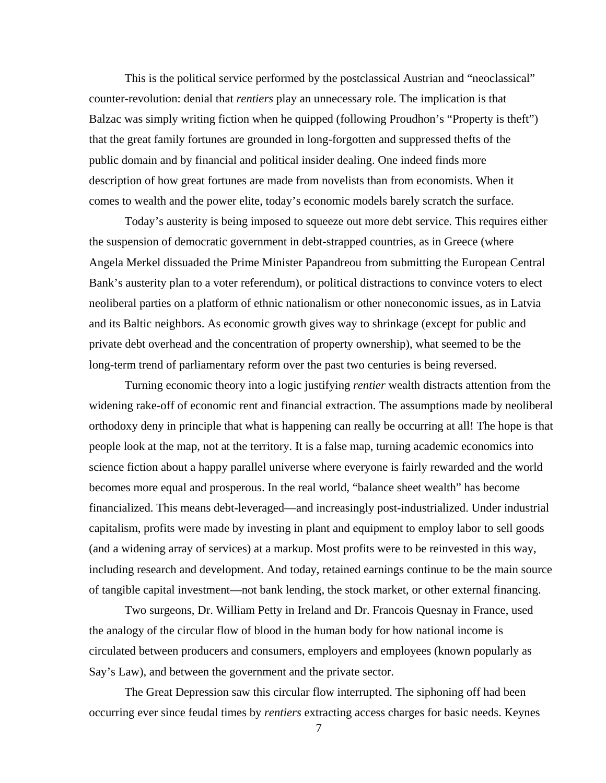This is the political service performed by the postclassical Austrian and "neoclassical" counter-revolution: denial that *rentiers* play an unnecessary role. The implication is that Balzac was simply writing fiction when he quipped (following Proudhon's "Property is theft") that the great family fortunes are grounded in long-forgotten and suppressed thefts of the public domain and by financial and political insider dealing. One indeed finds more description of how great fortunes are made from novelists than from economists. When it comes to wealth and the power elite, today's economic models barely scratch the surface.

 Today's austerity is being imposed to squeeze out more debt service. This requires either the suspension of democratic government in debt-strapped countries, as in Greece (where Angela Merkel dissuaded the Prime Minister Papandreou from submitting the European Central Bank's austerity plan to a voter referendum), or political distractions to convince voters to elect neoliberal parties on a platform of ethnic nationalism or other noneconomic issues, as in Latvia and its Baltic neighbors. As economic growth gives way to shrinkage (except for public and private debt overhead and the concentration of property ownership), what seemed to be the long-term trend of parliamentary reform over the past two centuries is being reversed.

 Turning economic theory into a logic justifying *rentier* wealth distracts attention from the widening rake-off of economic rent and financial extraction. The assumptions made by neoliberal orthodoxy deny in principle that what is happening can really be occurring at all! The hope is that people look at the map, not at the territory. It is a false map, turning academic economics into science fiction about a happy parallel universe where everyone is fairly rewarded and the world becomes more equal and prosperous. In the real world, "balance sheet wealth" has become financialized. This means debt-leveraged—and increasingly post-industrialized. Under industrial capitalism, profits were made by investing in plant and equipment to employ labor to sell goods (and a widening array of services) at a markup. Most profits were to be reinvested in this way, including research and development. And today, retained earnings continue to be the main source of tangible capital investment—not bank lending, the stock market, or other external financing.

 Two surgeons, Dr. William Petty in Ireland and Dr. Francois Quesnay in France, used the analogy of the circular flow of blood in the human body for how national income is circulated between producers and consumers, employers and employees (known popularly as Say's Law), and between the government and the private sector.

 The Great Depression saw this circular flow interrupted. The siphoning off had been occurring ever since feudal times by *rentiers* extracting access charges for basic needs. Keynes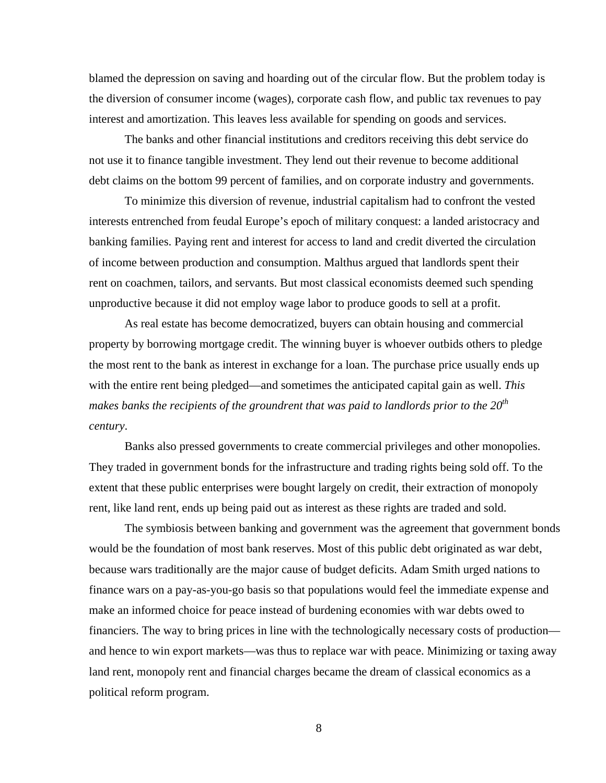blamed the depression on saving and hoarding out of the circular flow. But the problem today is the diversion of consumer income (wages), corporate cash flow, and public tax revenues to pay interest and amortization. This leaves less available for spending on goods and services.

 The banks and other financial institutions and creditors receiving this debt service do not use it to finance tangible investment. They lend out their revenue to become additional debt claims on the bottom 99 percent of families, and on corporate industry and governments.

 To minimize this diversion of revenue, industrial capitalism had to confront the vested interests entrenched from feudal Europe's epoch of military conquest: a landed aristocracy and banking families. Paying rent and interest for access to land and credit diverted the circulation of income between production and consumption. Malthus argued that landlords spent their rent on coachmen, tailors, and servants. But most classical economists deemed such spending unproductive because it did not employ wage labor to produce goods to sell at a profit.

 As real estate has become democratized, buyers can obtain housing and commercial property by borrowing mortgage credit. The winning buyer is whoever outbids others to pledge the most rent to the bank as interest in exchange for a loan. The purchase price usually ends up with the entire rent being pledged—and sometimes the anticipated capital gain as well. *This makes banks the recipients of the groundrent that was paid to landlords prior to the 20th century*.

 Banks also pressed governments to create commercial privileges and other monopolies. They traded in government bonds for the infrastructure and trading rights being sold off. To the extent that these public enterprises were bought largely on credit, their extraction of monopoly rent, like land rent, ends up being paid out as interest as these rights are traded and sold.

 The symbiosis between banking and government was the agreement that government bonds would be the foundation of most bank reserves. Most of this public debt originated as war debt, because wars traditionally are the major cause of budget deficits. Adam Smith urged nations to finance wars on a pay-as-you-go basis so that populations would feel the immediate expense and make an informed choice for peace instead of burdening economies with war debts owed to financiers. The way to bring prices in line with the technologically necessary costs of production and hence to win export markets—was thus to replace war with peace. Minimizing or taxing away land rent, monopoly rent and financial charges became the dream of classical economics as a political reform program.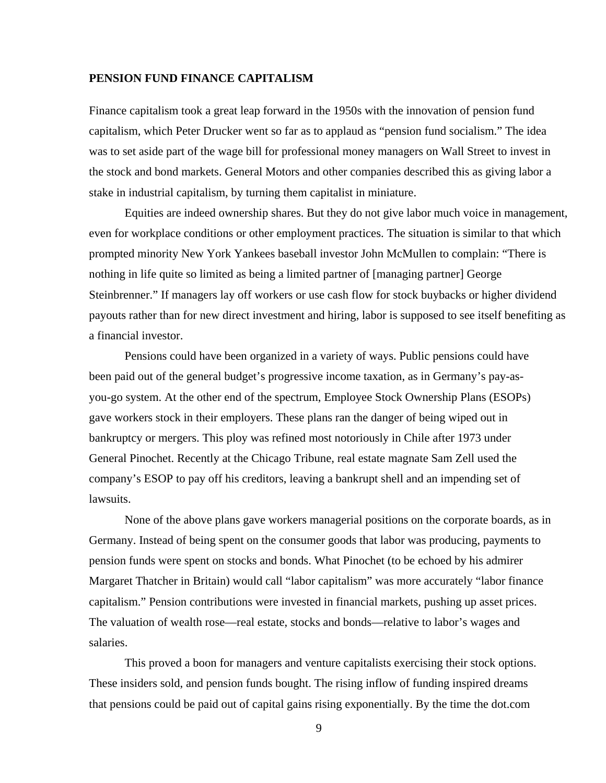#### **PENSION FUND FINANCE CAPITALISM**

Finance capitalism took a great leap forward in the 1950s with the innovation of pension fund capitalism, which Peter Drucker went so far as to applaud as "pension fund socialism." The idea was to set aside part of the wage bill for professional money managers on Wall Street to invest in the stock and bond markets. General Motors and other companies described this as giving labor a stake in industrial capitalism, by turning them capitalist in miniature.

 Equities are indeed ownership shares. But they do not give labor much voice in management, even for workplace conditions or other employment practices. The situation is similar to that which prompted minority New York Yankees baseball investor John McMullen to complain: "There is nothing in life quite so limited as being a limited partner of [managing partner] George Steinbrenner." If managers lay off workers or use cash flow for stock buybacks or higher dividend payouts rather than for new direct investment and hiring, labor is supposed to see itself benefiting as a financial investor.

 Pensions could have been organized in a variety of ways. Public pensions could have been paid out of the general budget's progressive income taxation, as in Germany's pay-asyou-go system. At the other end of the spectrum, Employee Stock Ownership Plans (ESOPs) gave workers stock in their employers. These plans ran the danger of being wiped out in bankruptcy or mergers. This ploy was refined most notoriously in Chile after 1973 under General Pinochet. Recently at the Chicago Tribune, real estate magnate Sam Zell used the company's ESOP to pay off his creditors, leaving a bankrupt shell and an impending set of lawsuits.

 None of the above plans gave workers managerial positions on the corporate boards, as in Germany. Instead of being spent on the consumer goods that labor was producing, payments to pension funds were spent on stocks and bonds. What Pinochet (to be echoed by his admirer Margaret Thatcher in Britain) would call "labor capitalism" was more accurately "labor finance capitalism." Pension contributions were invested in financial markets, pushing up asset prices. The valuation of wealth rose—real estate, stocks and bonds—relative to labor's wages and salaries.

 This proved a boon for managers and venture capitalists exercising their stock options. These insiders sold, and pension funds bought. The rising inflow of funding inspired dreams that pensions could be paid out of capital gains rising exponentially. By the time the dot.com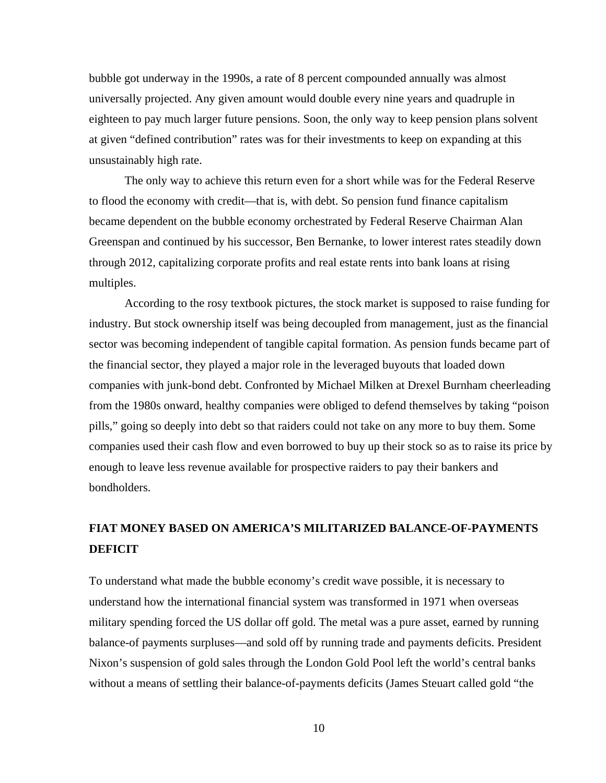bubble got underway in the 1990s, a rate of 8 percent compounded annually was almost universally projected. Any given amount would double every nine years and quadruple in eighteen to pay much larger future pensions. Soon, the only way to keep pension plans solvent at given "defined contribution" rates was for their investments to keep on expanding at this unsustainably high rate.

 The only way to achieve this return even for a short while was for the Federal Reserve to flood the economy with credit—that is, with debt. So pension fund finance capitalism became dependent on the bubble economy orchestrated by Federal Reserve Chairman Alan Greenspan and continued by his successor, Ben Bernanke, to lower interest rates steadily down through 2012, capitalizing corporate profits and real estate rents into bank loans at rising multiples.

 According to the rosy textbook pictures, the stock market is supposed to raise funding for industry. But stock ownership itself was being decoupled from management, just as the financial sector was becoming independent of tangible capital formation. As pension funds became part of the financial sector, they played a major role in the leveraged buyouts that loaded down companies with junk-bond debt. Confronted by Michael Milken at Drexel Burnham cheerleading from the 1980s onward, healthy companies were obliged to defend themselves by taking "poison pills," going so deeply into debt so that raiders could not take on any more to buy them. Some companies used their cash flow and even borrowed to buy up their stock so as to raise its price by enough to leave less revenue available for prospective raiders to pay their bankers and bondholders.

# **FIAT MONEY BASED ON AMERICA'S MILITARIZED BALANCE-OF-PAYMENTS DEFICIT**

To understand what made the bubble economy's credit wave possible, it is necessary to understand how the international financial system was transformed in 1971 when overseas military spending forced the US dollar off gold. The metal was a pure asset, earned by running balance-of payments surpluses—and sold off by running trade and payments deficits. President Nixon's suspension of gold sales through the London Gold Pool left the world's central banks without a means of settling their balance-of-payments deficits (James Steuart called gold "the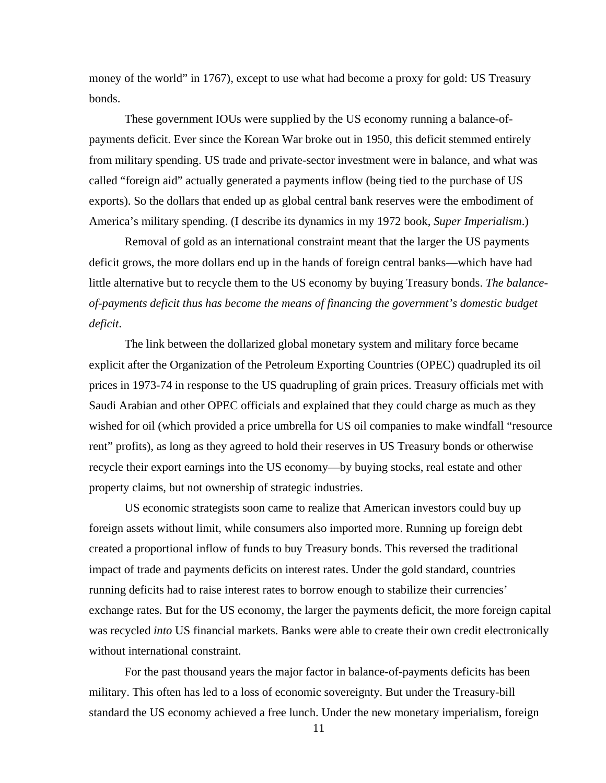money of the world" in 1767), except to use what had become a proxy for gold: US Treasury bonds.

 These government IOUs were supplied by the US economy running a balance-ofpayments deficit. Ever since the Korean War broke out in 1950, this deficit stemmed entirely from military spending. US trade and private-sector investment were in balance, and what was called "foreign aid" actually generated a payments inflow (being tied to the purchase of US exports). So the dollars that ended up as global central bank reserves were the embodiment of America's military spending. (I describe its dynamics in my 1972 book, *Super Imperialism*.)

 Removal of gold as an international constraint meant that the larger the US payments deficit grows, the more dollars end up in the hands of foreign central banks—which have had little alternative but to recycle them to the US economy by buying Treasury bonds. *The balanceof-payments deficit thus has become the means of financing the government's domestic budget deficit*.

 The link between the dollarized global monetary system and military force became explicit after the Organization of the Petroleum Exporting Countries (OPEC) quadrupled its oil prices in 1973-74 in response to the US quadrupling of grain prices. Treasury officials met with Saudi Arabian and other OPEC officials and explained that they could charge as much as they wished for oil (which provided a price umbrella for US oil companies to make windfall "resource rent" profits), as long as they agreed to hold their reserves in US Treasury bonds or otherwise recycle their export earnings into the US economy—by buying stocks, real estate and other property claims, but not ownership of strategic industries.

 US economic strategists soon came to realize that American investors could buy up foreign assets without limit, while consumers also imported more. Running up foreign debt created a proportional inflow of funds to buy Treasury bonds. This reversed the traditional impact of trade and payments deficits on interest rates. Under the gold standard, countries running deficits had to raise interest rates to borrow enough to stabilize their currencies' exchange rates. But for the US economy, the larger the payments deficit, the more foreign capital was recycled *into* US financial markets. Banks were able to create their own credit electronically without international constraint.

 For the past thousand years the major factor in balance-of-payments deficits has been military. This often has led to a loss of economic sovereignty. But under the Treasury-bill standard the US economy achieved a free lunch. Under the new monetary imperialism, foreign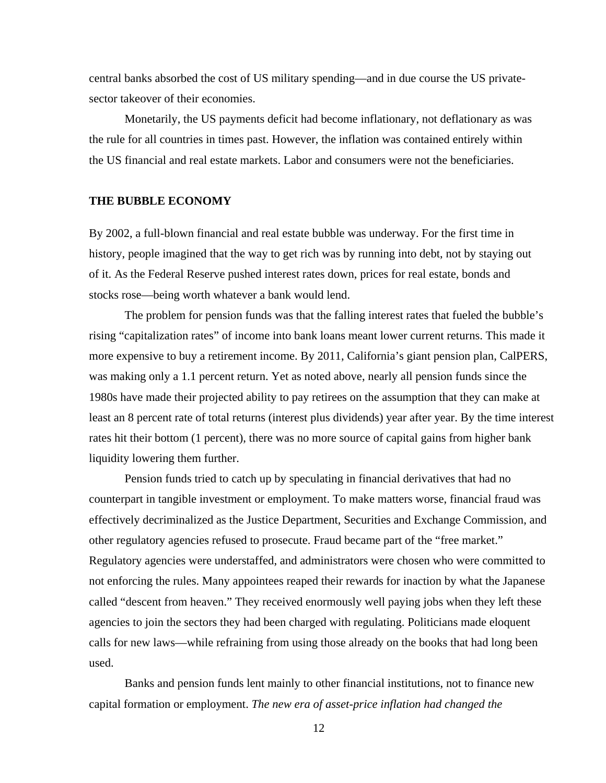central banks absorbed the cost of US military spending—and in due course the US privatesector takeover of their economies.

 Monetarily, the US payments deficit had become inflationary, not deflationary as was the rule for all countries in times past. However, the inflation was contained entirely within the US financial and real estate markets. Labor and consumers were not the beneficiaries.

#### **THE BUBBLE ECONOMY**

By 2002, a full-blown financial and real estate bubble was underway. For the first time in history, people imagined that the way to get rich was by running into debt, not by staying out of it. As the Federal Reserve pushed interest rates down, prices for real estate, bonds and stocks rose—being worth whatever a bank would lend.

 The problem for pension funds was that the falling interest rates that fueled the bubble's rising "capitalization rates" of income into bank loans meant lower current returns. This made it more expensive to buy a retirement income. By 2011, California's giant pension plan, CalPERS, was making only a 1.1 percent return. Yet as noted above, nearly all pension funds since the 1980s have made their projected ability to pay retirees on the assumption that they can make at least an 8 percent rate of total returns (interest plus dividends) year after year. By the time interest rates hit their bottom (1 percent), there was no more source of capital gains from higher bank liquidity lowering them further.

 Pension funds tried to catch up by speculating in financial derivatives that had no counterpart in tangible investment or employment. To make matters worse, financial fraud was effectively decriminalized as the Justice Department, Securities and Exchange Commission, and other regulatory agencies refused to prosecute. Fraud became part of the "free market." Regulatory agencies were understaffed, and administrators were chosen who were committed to not enforcing the rules. Many appointees reaped their rewards for inaction by what the Japanese called "descent from heaven." They received enormously well paying jobs when they left these agencies to join the sectors they had been charged with regulating. Politicians made eloquent calls for new laws—while refraining from using those already on the books that had long been used.

 Banks and pension funds lent mainly to other financial institutions, not to finance new capital formation or employment. *The new era of asset-price inflation had changed the*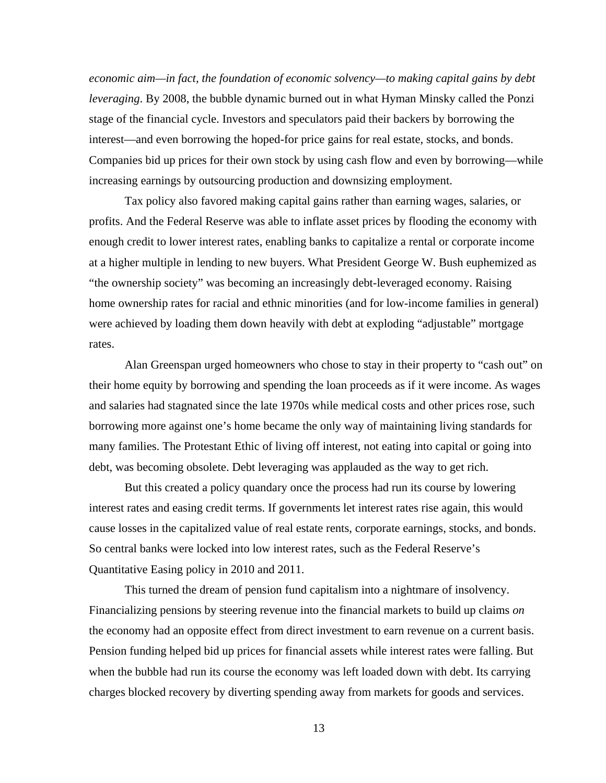*economic aim—in fact, the foundation of economic solvency—to making capital gains by debt leveraging*. By 2008, the bubble dynamic burned out in what Hyman Minsky called the Ponzi stage of the financial cycle. Investors and speculators paid their backers by borrowing the interest—and even borrowing the hoped-for price gains for real estate, stocks, and bonds. Companies bid up prices for their own stock by using cash flow and even by borrowing—while increasing earnings by outsourcing production and downsizing employment.

 Tax policy also favored making capital gains rather than earning wages, salaries, or profits. And the Federal Reserve was able to inflate asset prices by flooding the economy with enough credit to lower interest rates, enabling banks to capitalize a rental or corporate income at a higher multiple in lending to new buyers. What President George W. Bush euphemized as "the ownership society" was becoming an increasingly debt-leveraged economy. Raising home ownership rates for racial and ethnic minorities (and for low-income families in general) were achieved by loading them down heavily with debt at exploding "adjustable" mortgage rates.

 Alan Greenspan urged homeowners who chose to stay in their property to "cash out" on their home equity by borrowing and spending the loan proceeds as if it were income. As wages and salaries had stagnated since the late 1970s while medical costs and other prices rose, such borrowing more against one's home became the only way of maintaining living standards for many families. The Protestant Ethic of living off interest, not eating into capital or going into debt, was becoming obsolete. Debt leveraging was applauded as the way to get rich.

 But this created a policy quandary once the process had run its course by lowering interest rates and easing credit terms. If governments let interest rates rise again, this would cause losses in the capitalized value of real estate rents, corporate earnings, stocks, and bonds. So central banks were locked into low interest rates, such as the Federal Reserve's Quantitative Easing policy in 2010 and 2011.

 This turned the dream of pension fund capitalism into a nightmare of insolvency. Financializing pensions by steering revenue into the financial markets to build up claims *on* the economy had an opposite effect from direct investment to earn revenue on a current basis. Pension funding helped bid up prices for financial assets while interest rates were falling. But when the bubble had run its course the economy was left loaded down with debt. Its carrying charges blocked recovery by diverting spending away from markets for goods and services.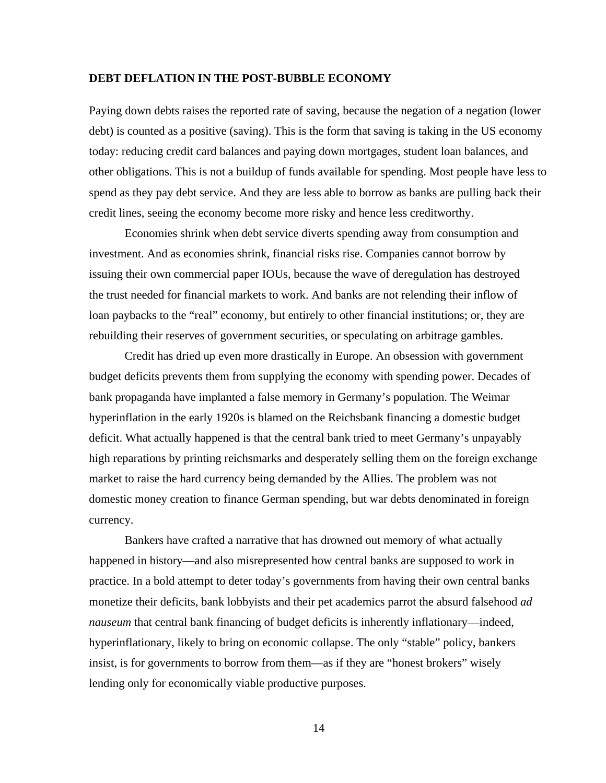#### **DEBT DEFLATION IN THE POST-BUBBLE ECONOMY**

Paying down debts raises the reported rate of saving, because the negation of a negation (lower debt) is counted as a positive (saving). This is the form that saving is taking in the US economy today: reducing credit card balances and paying down mortgages, student loan balances, and other obligations. This is not a buildup of funds available for spending. Most people have less to spend as they pay debt service. And they are less able to borrow as banks are pulling back their credit lines, seeing the economy become more risky and hence less creditworthy.

 Economies shrink when debt service diverts spending away from consumption and investment. And as economies shrink, financial risks rise. Companies cannot borrow by issuing their own commercial paper IOUs, because the wave of deregulation has destroyed the trust needed for financial markets to work. And banks are not relending their inflow of loan paybacks to the "real" economy, but entirely to other financial institutions; or, they are rebuilding their reserves of government securities, or speculating on arbitrage gambles.

 Credit has dried up even more drastically in Europe. An obsession with government budget deficits prevents them from supplying the economy with spending power. Decades of bank propaganda have implanted a false memory in Germany's population. The Weimar hyperinflation in the early 1920s is blamed on the Reichsbank financing a domestic budget deficit. What actually happened is that the central bank tried to meet Germany's unpayably high reparations by printing reichsmarks and desperately selling them on the foreign exchange market to raise the hard currency being demanded by the Allies. The problem was not domestic money creation to finance German spending, but war debts denominated in foreign currency.

 Bankers have crafted a narrative that has drowned out memory of what actually happened in history—and also misrepresented how central banks are supposed to work in practice. In a bold attempt to deter today's governments from having their own central banks monetize their deficits, bank lobbyists and their pet academics parrot the absurd falsehood *ad nauseum* that central bank financing of budget deficits is inherently inflationary—indeed, hyperinflationary, likely to bring on economic collapse. The only "stable" policy, bankers insist, is for governments to borrow from them—as if they are "honest brokers" wisely lending only for economically viable productive purposes.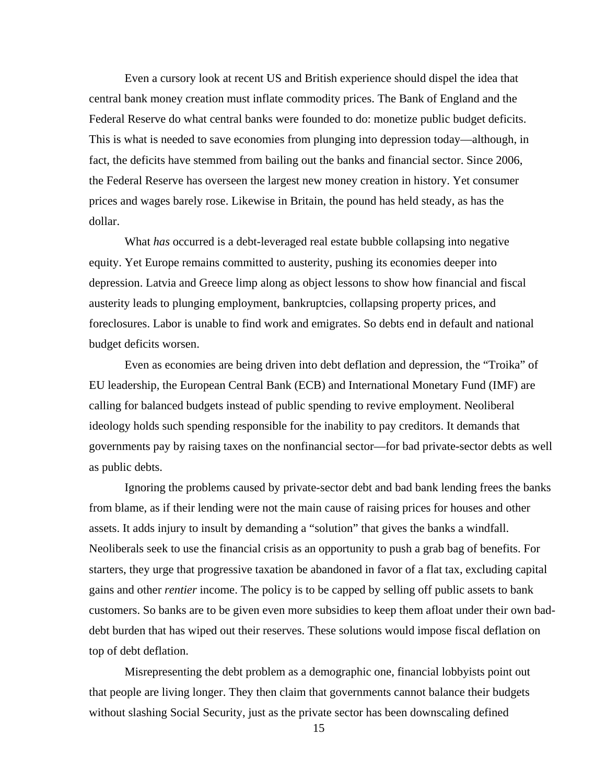Even a cursory look at recent US and British experience should dispel the idea that central bank money creation must inflate commodity prices. The Bank of England and the Federal Reserve do what central banks were founded to do: monetize public budget deficits. This is what is needed to save economies from plunging into depression today—although, in fact, the deficits have stemmed from bailing out the banks and financial sector. Since 2006, the Federal Reserve has overseen the largest new money creation in history. Yet consumer prices and wages barely rose. Likewise in Britain, the pound has held steady, as has the dollar.

 What *has* occurred is a debt-leveraged real estate bubble collapsing into negative equity. Yet Europe remains committed to austerity, pushing its economies deeper into depression. Latvia and Greece limp along as object lessons to show how financial and fiscal austerity leads to plunging employment, bankruptcies, collapsing property prices, and foreclosures. Labor is unable to find work and emigrates. So debts end in default and national budget deficits worsen.

 Even as economies are being driven into debt deflation and depression, the "Troika" of EU leadership, the European Central Bank (ECB) and International Monetary Fund (IMF) are calling for balanced budgets instead of public spending to revive employment. Neoliberal ideology holds such spending responsible for the inability to pay creditors. It demands that governments pay by raising taxes on the nonfinancial sector—for bad private-sector debts as well as public debts.

 Ignoring the problems caused by private-sector debt and bad bank lending frees the banks from blame, as if their lending were not the main cause of raising prices for houses and other assets. It adds injury to insult by demanding a "solution" that gives the banks a windfall. Neoliberals seek to use the financial crisis as an opportunity to push a grab bag of benefits. For starters, they urge that progressive taxation be abandoned in favor of a flat tax, excluding capital gains and other *rentier* income. The policy is to be capped by selling off public assets to bank customers. So banks are to be given even more subsidies to keep them afloat under their own baddebt burden that has wiped out their reserves. These solutions would impose fiscal deflation on top of debt deflation.

 Misrepresenting the debt problem as a demographic one, financial lobbyists point out that people are living longer. They then claim that governments cannot balance their budgets without slashing Social Security, just as the private sector has been downscaling defined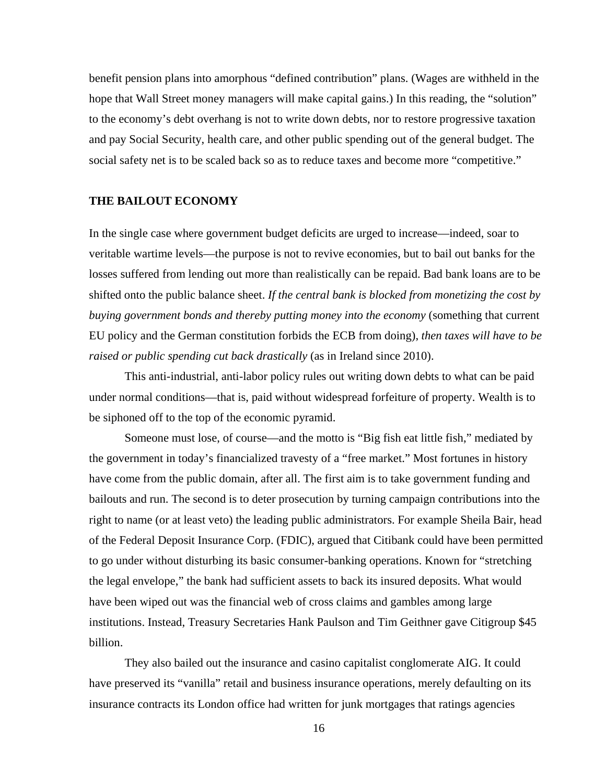benefit pension plans into amorphous "defined contribution" plans. (Wages are withheld in the hope that Wall Street money managers will make capital gains.) In this reading, the "solution" to the economy's debt overhang is not to write down debts, nor to restore progressive taxation and pay Social Security, health care, and other public spending out of the general budget. The social safety net is to be scaled back so as to reduce taxes and become more "competitive."

### **THE BAILOUT ECONOMY**

In the single case where government budget deficits are urged to increase—indeed, soar to veritable wartime levels—the purpose is not to revive economies, but to bail out banks for the losses suffered from lending out more than realistically can be repaid. Bad bank loans are to be shifted onto the public balance sheet. *If the central bank is blocked from monetizing the cost by buying government bonds and thereby putting money into the economy* (something that current EU policy and the German constitution forbids the ECB from doing), *then taxes will have to be raised or public spending cut back drastically* (as in Ireland since 2010).

 This anti-industrial, anti-labor policy rules out writing down debts to what can be paid under normal conditions—that is, paid without widespread forfeiture of property. Wealth is to be siphoned off to the top of the economic pyramid.

 Someone must lose, of course—and the motto is "Big fish eat little fish," mediated by the government in today's financialized travesty of a "free market." Most fortunes in history have come from the public domain, after all. The first aim is to take government funding and bailouts and run. The second is to deter prosecution by turning campaign contributions into the right to name (or at least veto) the leading public administrators. For example Sheila Bair, head of the Federal Deposit Insurance Corp. (FDIC), argued that Citibank could have been permitted to go under without disturbing its basic consumer-banking operations. Known for "stretching the legal envelope," the bank had sufficient assets to back its insured deposits. What would have been wiped out was the financial web of cross claims and gambles among large institutions. Instead, Treasury Secretaries Hank Paulson and Tim Geithner gave Citigroup \$45 billion.

 They also bailed out the insurance and casino capitalist conglomerate AIG. It could have preserved its "vanilla" retail and business insurance operations, merely defaulting on its insurance contracts its London office had written for junk mortgages that ratings agencies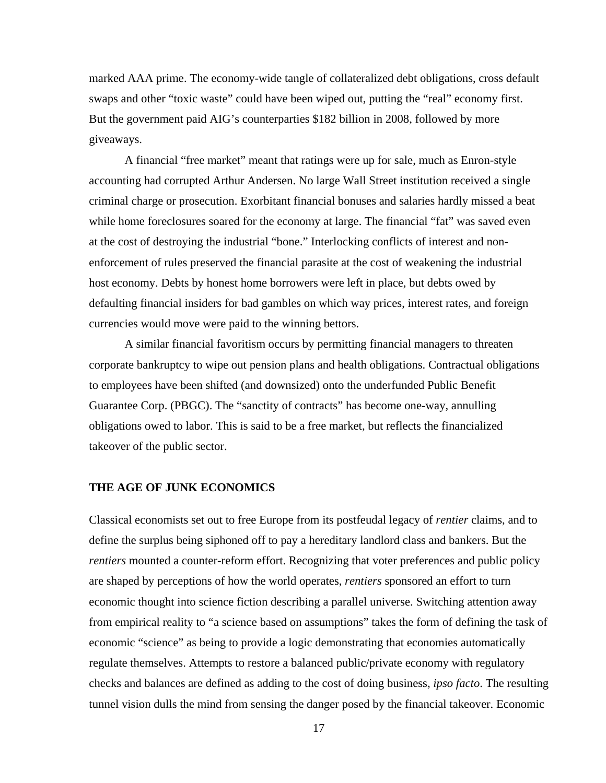marked AAA prime. The economy-wide tangle of collateralized debt obligations, cross default swaps and other "toxic waste" could have been wiped out, putting the "real" economy first. But the government paid AIG's counterparties \$182 billion in 2008, followed by more giveaways.

 A financial "free market" meant that ratings were up for sale, much as Enron-style accounting had corrupted Arthur Andersen. No large Wall Street institution received a single criminal charge or prosecution. Exorbitant financial bonuses and salaries hardly missed a beat while home foreclosures soared for the economy at large. The financial "fat" was saved even at the cost of destroying the industrial "bone." Interlocking conflicts of interest and nonenforcement of rules preserved the financial parasite at the cost of weakening the industrial host economy. Debts by honest home borrowers were left in place, but debts owed by defaulting financial insiders for bad gambles on which way prices, interest rates, and foreign currencies would move were paid to the winning bettors.

 A similar financial favoritism occurs by permitting financial managers to threaten corporate bankruptcy to wipe out pension plans and health obligations. Contractual obligations to employees have been shifted (and downsized) onto the underfunded Public Benefit Guarantee Corp. (PBGC). The "sanctity of contracts" has become one-way, annulling obligations owed to labor. This is said to be a free market, but reflects the financialized takeover of the public sector.

#### **THE AGE OF JUNK ECONOMICS**

Classical economists set out to free Europe from its postfeudal legacy of *rentier* claims, and to define the surplus being siphoned off to pay a hereditary landlord class and bankers. But the *rentiers* mounted a counter-reform effort. Recognizing that voter preferences and public policy are shaped by perceptions of how the world operates, *rentiers* sponsored an effort to turn economic thought into science fiction describing a parallel universe. Switching attention away from empirical reality to "a science based on assumptions" takes the form of defining the task of economic "science" as being to provide a logic demonstrating that economies automatically regulate themselves. Attempts to restore a balanced public/private economy with regulatory checks and balances are defined as adding to the cost of doing business, *ipso facto*. The resulting tunnel vision dulls the mind from sensing the danger posed by the financial takeover. Economic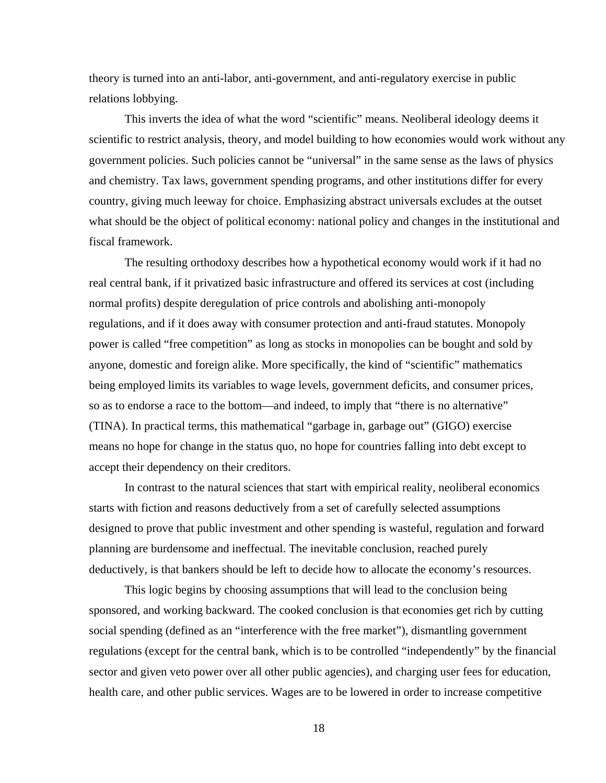theory is turned into an anti-labor, anti-government, and anti-regulatory exercise in public relations lobbying.

 This inverts the idea of what the word "scientific" means. Neoliberal ideology deems it scientific to restrict analysis, theory, and model building to how economies would work without any government policies. Such policies cannot be "universal" in the same sense as the laws of physics and chemistry. Tax laws, government spending programs, and other institutions differ for every country, giving much leeway for choice. Emphasizing abstract universals excludes at the outset what should be the object of political economy: national policy and changes in the institutional and fiscal framework.

 The resulting orthodoxy describes how a hypothetical economy would work if it had no real central bank, if it privatized basic infrastructure and offered its services at cost (including normal profits) despite deregulation of price controls and abolishing anti-monopoly regulations, and if it does away with consumer protection and anti-fraud statutes. Monopoly power is called "free competition" as long as stocks in monopolies can be bought and sold by anyone, domestic and foreign alike. More specifically, the kind of "scientific" mathematics being employed limits its variables to wage levels, government deficits, and consumer prices, so as to endorse a race to the bottom—and indeed, to imply that "there is no alternative" (TINA). In practical terms, this mathematical "garbage in, garbage out" (GIGO) exercise means no hope for change in the status quo, no hope for countries falling into debt except to accept their dependency on their creditors.

 In contrast to the natural sciences that start with empirical reality, neoliberal economics starts with fiction and reasons deductively from a set of carefully selected assumptions designed to prove that public investment and other spending is wasteful, regulation and forward planning are burdensome and ineffectual. The inevitable conclusion, reached purely deductively, is that bankers should be left to decide how to allocate the economy's resources.

 This logic begins by choosing assumptions that will lead to the conclusion being sponsored, and working backward. The cooked conclusion is that economies get rich by cutting social spending (defined as an "interference with the free market"), dismantling government regulations (except for the central bank, which is to be controlled "independently" by the financial sector and given veto power over all other public agencies), and charging user fees for education, health care, and other public services. Wages are to be lowered in order to increase competitive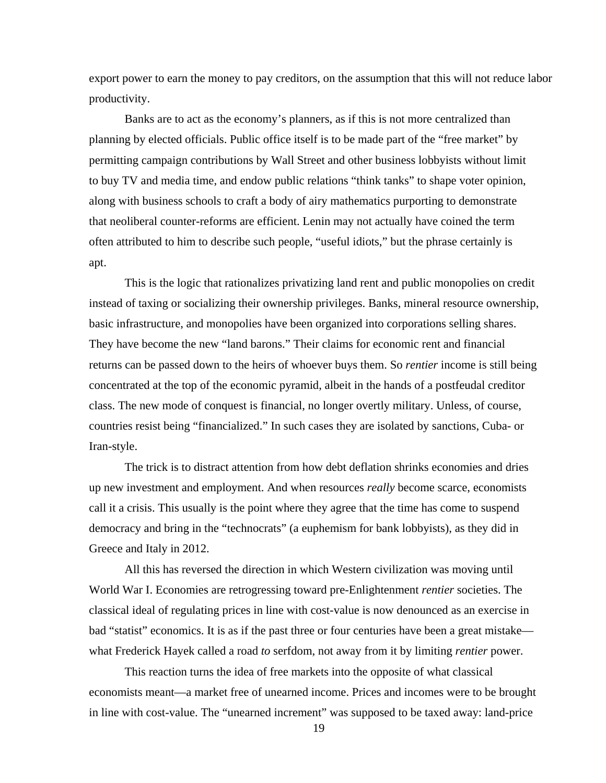export power to earn the money to pay creditors, on the assumption that this will not reduce labor productivity.

 Banks are to act as the economy's planners, as if this is not more centralized than planning by elected officials. Public office itself is to be made part of the "free market" by permitting campaign contributions by Wall Street and other business lobbyists without limit to buy TV and media time, and endow public relations "think tanks" to shape voter opinion, along with business schools to craft a body of airy mathematics purporting to demonstrate that neoliberal counter-reforms are efficient. Lenin may not actually have coined the term often attributed to him to describe such people, "useful idiots," but the phrase certainly is apt.

 This is the logic that rationalizes privatizing land rent and public monopolies on credit instead of taxing or socializing their ownership privileges. Banks, mineral resource ownership, basic infrastructure, and monopolies have been organized into corporations selling shares. They have become the new "land barons." Their claims for economic rent and financial returns can be passed down to the heirs of whoever buys them. So *rentier* income is still being concentrated at the top of the economic pyramid, albeit in the hands of a postfeudal creditor class. The new mode of conquest is financial, no longer overtly military. Unless, of course, countries resist being "financialized." In such cases they are isolated by sanctions, Cuba- or Iran-style.

 The trick is to distract attention from how debt deflation shrinks economies and dries up new investment and employment. And when resources *really* become scarce, economists call it a crisis. This usually is the point where they agree that the time has come to suspend democracy and bring in the "technocrats" (a euphemism for bank lobbyists), as they did in Greece and Italy in 2012.

 All this has reversed the direction in which Western civilization was moving until World War I. Economies are retrogressing toward pre-Enlightenment *rentier* societies. The classical ideal of regulating prices in line with cost-value is now denounced as an exercise in bad "statist" economics. It is as if the past three or four centuries have been a great mistake what Frederick Hayek called a road *to* serfdom, not away from it by limiting *rentier* power.

 This reaction turns the idea of free markets into the opposite of what classical economists meant—a market free of unearned income. Prices and incomes were to be brought in line with cost-value. The "unearned increment" was supposed to be taxed away: land-price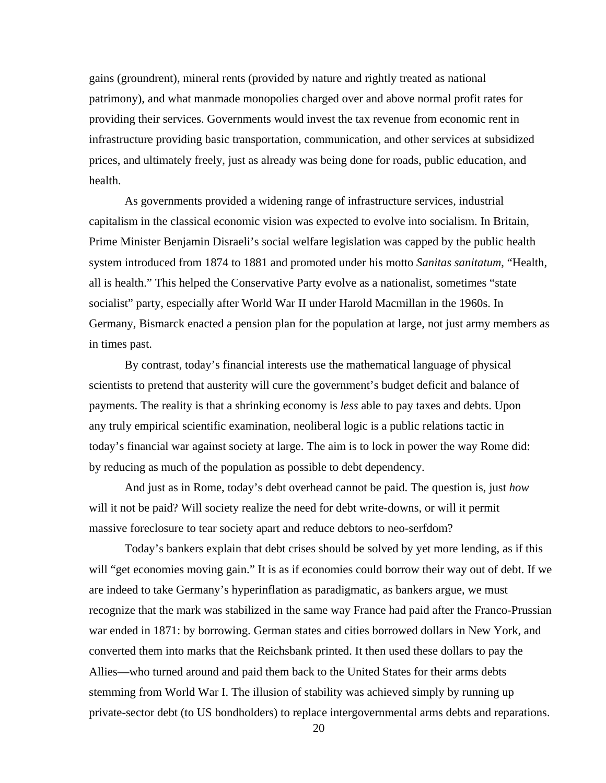gains (groundrent), mineral rents (provided by nature and rightly treated as national patrimony), and what manmade monopolies charged over and above normal profit rates for providing their services. Governments would invest the tax revenue from economic rent in infrastructure providing basic transportation, communication, and other services at subsidized prices, and ultimately freely, just as already was being done for roads, public education, and health.

 As governments provided a widening range of infrastructure services, industrial capitalism in the classical economic vision was expected to evolve into socialism. In Britain, Prime Minister Benjamin Disraeli's social welfare legislation was capped by the public health system introduced from 1874 to 1881 and promoted under his motto *Sanitas sanitatum*, "Health, all is health." This helped the Conservative Party evolve as a nationalist, sometimes "state socialist" party, especially after World War II under Harold Macmillan in the 1960s. In Germany, Bismarck enacted a pension plan for the population at large, not just army members as in times past.

 By contrast, today's financial interests use the mathematical language of physical scientists to pretend that austerity will cure the government's budget deficit and balance of payments. The reality is that a shrinking economy is *less* able to pay taxes and debts. Upon any truly empirical scientific examination, neoliberal logic is a public relations tactic in today's financial war against society at large. The aim is to lock in power the way Rome did: by reducing as much of the population as possible to debt dependency.

 And just as in Rome, today's debt overhead cannot be paid. The question is, just *how* will it not be paid? Will society realize the need for debt write-downs, or will it permit massive foreclosure to tear society apart and reduce debtors to neo-serfdom?

 Today's bankers explain that debt crises should be solved by yet more lending, as if this will "get economies moving gain." It is as if economies could borrow their way out of debt. If we are indeed to take Germany's hyperinflation as paradigmatic, as bankers argue, we must recognize that the mark was stabilized in the same way France had paid after the Franco-Prussian war ended in 1871: by borrowing. German states and cities borrowed dollars in New York, and converted them into marks that the Reichsbank printed. It then used these dollars to pay the Allies—who turned around and paid them back to the United States for their arms debts stemming from World War I. The illusion of stability was achieved simply by running up private-sector debt (to US bondholders) to replace intergovernmental arms debts and reparations.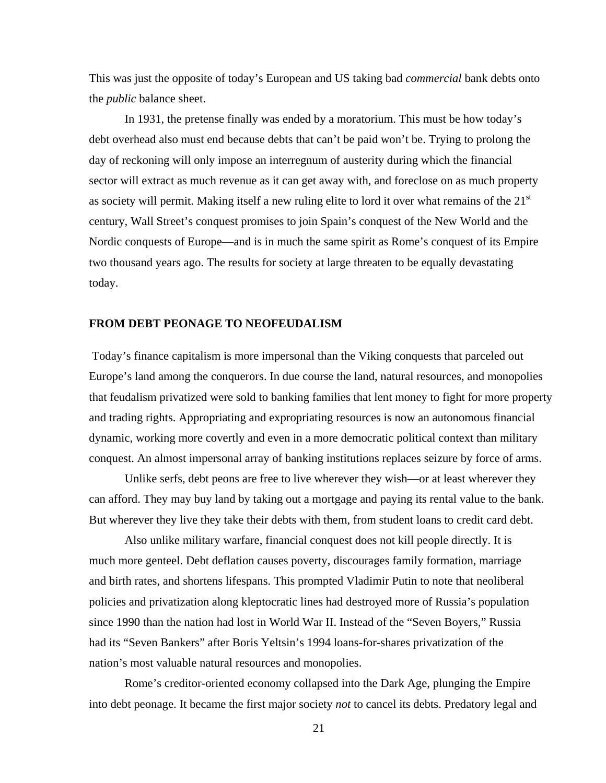This was just the opposite of today's European and US taking bad *commercial* bank debts onto the *public* balance sheet.

 In 1931, the pretense finally was ended by a moratorium. This must be how today's debt overhead also must end because debts that can't be paid won't be. Trying to prolong the day of reckoning will only impose an interregnum of austerity during which the financial sector will extract as much revenue as it can get away with, and foreclose on as much property as society will permit. Making itself a new ruling elite to lord it over what remains of the  $21<sup>st</sup>$ century, Wall Street's conquest promises to join Spain's conquest of the New World and the Nordic conquests of Europe—and is in much the same spirit as Rome's conquest of its Empire two thousand years ago. The results for society at large threaten to be equally devastating today.

## **FROM DEBT PEONAGE TO NEOFEUDALISM**

 Today's finance capitalism is more impersonal than the Viking conquests that parceled out Europe's land among the conquerors. In due course the land, natural resources, and monopolies that feudalism privatized were sold to banking families that lent money to fight for more property and trading rights. Appropriating and expropriating resources is now an autonomous financial dynamic, working more covertly and even in a more democratic political context than military conquest. An almost impersonal array of banking institutions replaces seizure by force of arms.

 Unlike serfs, debt peons are free to live wherever they wish—or at least wherever they can afford. They may buy land by taking out a mortgage and paying its rental value to the bank. But wherever they live they take their debts with them, from student loans to credit card debt.

 Also unlike military warfare, financial conquest does not kill people directly. It is much more genteel. Debt deflation causes poverty, discourages family formation, marriage and birth rates, and shortens lifespans. This prompted Vladimir Putin to note that neoliberal policies and privatization along kleptocratic lines had destroyed more of Russia's population since 1990 than the nation had lost in World War II. Instead of the "Seven Boyers," Russia had its "Seven Bankers" after Boris Yeltsin's 1994 loans-for-shares privatization of the nation's most valuable natural resources and monopolies.

 Rome's creditor-oriented economy collapsed into the Dark Age, plunging the Empire into debt peonage. It became the first major society *not* to cancel its debts. Predatory legal and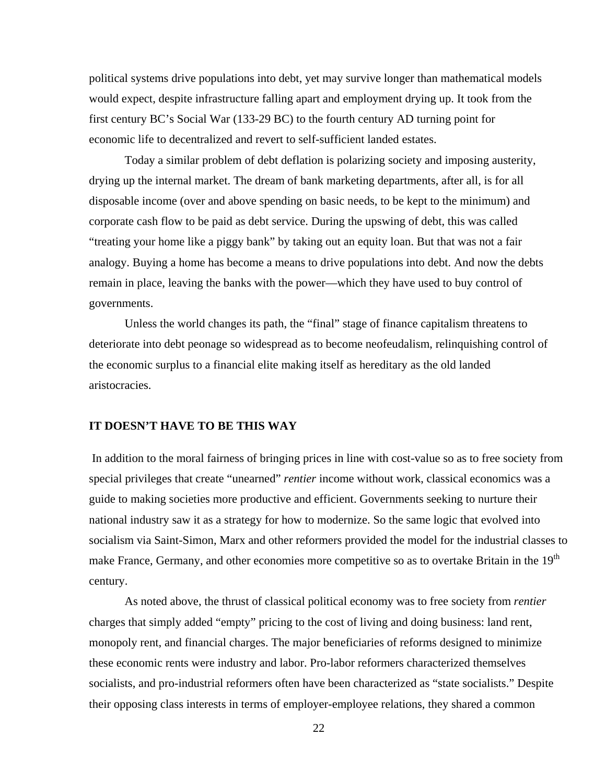political systems drive populations into debt, yet may survive longer than mathematical models would expect, despite infrastructure falling apart and employment drying up. It took from the first century BC's Social War (133-29 BC) to the fourth century AD turning point for economic life to decentralized and revert to self-sufficient landed estates.

 Today a similar problem of debt deflation is polarizing society and imposing austerity, drying up the internal market. The dream of bank marketing departments, after all, is for all disposable income (over and above spending on basic needs, to be kept to the minimum) and corporate cash flow to be paid as debt service. During the upswing of debt, this was called "treating your home like a piggy bank" by taking out an equity loan. But that was not a fair analogy. Buying a home has become a means to drive populations into debt. And now the debts remain in place, leaving the banks with the power—which they have used to buy control of governments.

 Unless the world changes its path, the "final" stage of finance capitalism threatens to deteriorate into debt peonage so widespread as to become neofeudalism, relinquishing control of the economic surplus to a financial elite making itself as hereditary as the old landed aristocracies.

### **IT DOESN'T HAVE TO BE THIS WAY**

 In addition to the moral fairness of bringing prices in line with cost-value so as to free society from special privileges that create "unearned" *rentier* income without work, classical economics was a guide to making societies more productive and efficient. Governments seeking to nurture their national industry saw it as a strategy for how to modernize. So the same logic that evolved into socialism via Saint-Simon, Marx and other reformers provided the model for the industrial classes to make France, Germany, and other economies more competitive so as to overtake Britain in the 19<sup>th</sup> century.

 As noted above, the thrust of classical political economy was to free society from *rentier* charges that simply added "empty" pricing to the cost of living and doing business: land rent, monopoly rent, and financial charges. The major beneficiaries of reforms designed to minimize these economic rents were industry and labor. Pro-labor reformers characterized themselves socialists, and pro-industrial reformers often have been characterized as "state socialists." Despite their opposing class interests in terms of employer-employee relations, they shared a common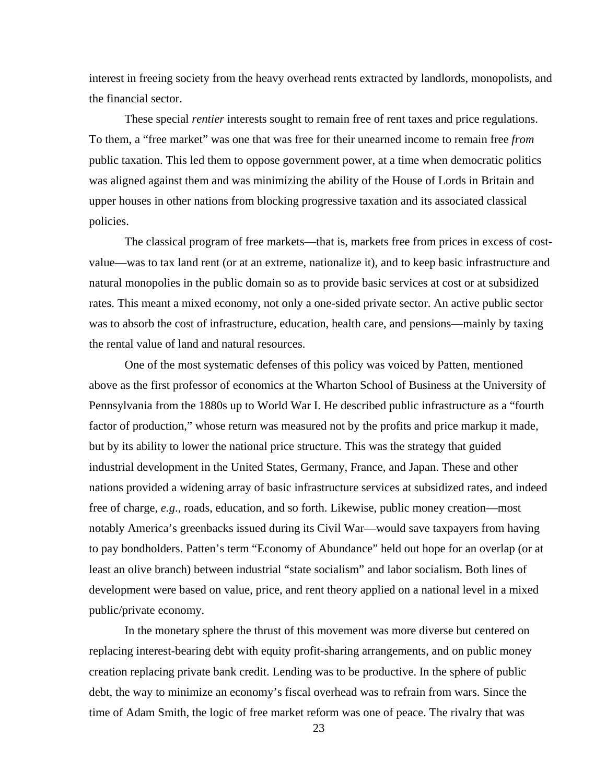interest in freeing society from the heavy overhead rents extracted by landlords, monopolists, and the financial sector.

 These special *rentier* interests sought to remain free of rent taxes and price regulations. To them, a "free market" was one that was free for their unearned income to remain free *from* public taxation. This led them to oppose government power, at a time when democratic politics was aligned against them and was minimizing the ability of the House of Lords in Britain and upper houses in other nations from blocking progressive taxation and its associated classical policies.

 The classical program of free markets—that is, markets free from prices in excess of costvalue—was to tax land rent (or at an extreme, nationalize it), and to keep basic infrastructure and natural monopolies in the public domain so as to provide basic services at cost or at subsidized rates. This meant a mixed economy, not only a one-sided private sector. An active public sector was to absorb the cost of infrastructure, education, health care, and pensions—mainly by taxing the rental value of land and natural resources.

 One of the most systematic defenses of this policy was voiced by Patten, mentioned above as the first professor of economics at the Wharton School of Business at the University of Pennsylvania from the 1880s up to World War I. He described public infrastructure as a "fourth factor of production," whose return was measured not by the profits and price markup it made, but by its ability to lower the national price structure. This was the strategy that guided industrial development in the United States, Germany, France, and Japan. These and other nations provided a widening array of basic infrastructure services at subsidized rates, and indeed free of charge, *e.g*., roads, education, and so forth. Likewise, public money creation—most notably America's greenbacks issued during its Civil War—would save taxpayers from having to pay bondholders. Patten's term "Economy of Abundance" held out hope for an overlap (or at least an olive branch) between industrial "state socialism" and labor socialism. Both lines of development were based on value, price, and rent theory applied on a national level in a mixed public/private economy.

 In the monetary sphere the thrust of this movement was more diverse but centered on replacing interest-bearing debt with equity profit-sharing arrangements, and on public money creation replacing private bank credit. Lending was to be productive. In the sphere of public debt, the way to minimize an economy's fiscal overhead was to refrain from wars. Since the time of Adam Smith, the logic of free market reform was one of peace. The rivalry that was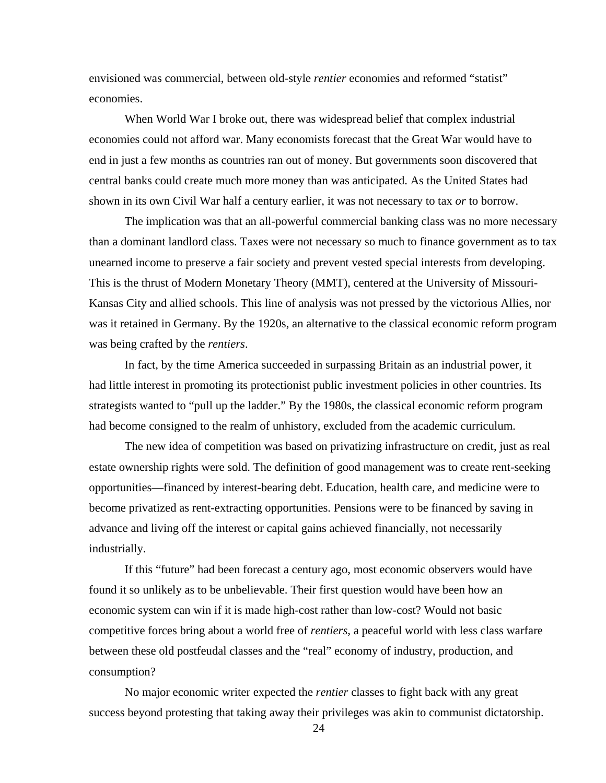envisioned was commercial, between old-style *rentier* economies and reformed "statist" economies.

 When World War I broke out, there was widespread belief that complex industrial economies could not afford war. Many economists forecast that the Great War would have to end in just a few months as countries ran out of money. But governments soon discovered that central banks could create much more money than was anticipated. As the United States had shown in its own Civil War half a century earlier, it was not necessary to tax *or* to borrow.

 The implication was that an all-powerful commercial banking class was no more necessary than a dominant landlord class. Taxes were not necessary so much to finance government as to tax unearned income to preserve a fair society and prevent vested special interests from developing. This is the thrust of Modern Monetary Theory (MMT), centered at the University of Missouri-Kansas City and allied schools. This line of analysis was not pressed by the victorious Allies, nor was it retained in Germany. By the 1920s, an alternative to the classical economic reform program was being crafted by the *rentiers*.

 In fact, by the time America succeeded in surpassing Britain as an industrial power, it had little interest in promoting its protectionist public investment policies in other countries. Its strategists wanted to "pull up the ladder." By the 1980s, the classical economic reform program had become consigned to the realm of unhistory, excluded from the academic curriculum.

 The new idea of competition was based on privatizing infrastructure on credit, just as real estate ownership rights were sold. The definition of good management was to create rent-seeking opportunities—financed by interest-bearing debt. Education, health care, and medicine were to become privatized as rent-extracting opportunities. Pensions were to be financed by saving in advance and living off the interest or capital gains achieved financially, not necessarily industrially.

 If this "future" had been forecast a century ago, most economic observers would have found it so unlikely as to be unbelievable. Their first question would have been how an economic system can win if it is made high-cost rather than low-cost? Would not basic competitive forces bring about a world free of *rentiers*, a peaceful world with less class warfare between these old postfeudal classes and the "real" economy of industry, production, and consumption?

 No major economic writer expected the *rentier* classes to fight back with any great success beyond protesting that taking away their privileges was akin to communist dictatorship.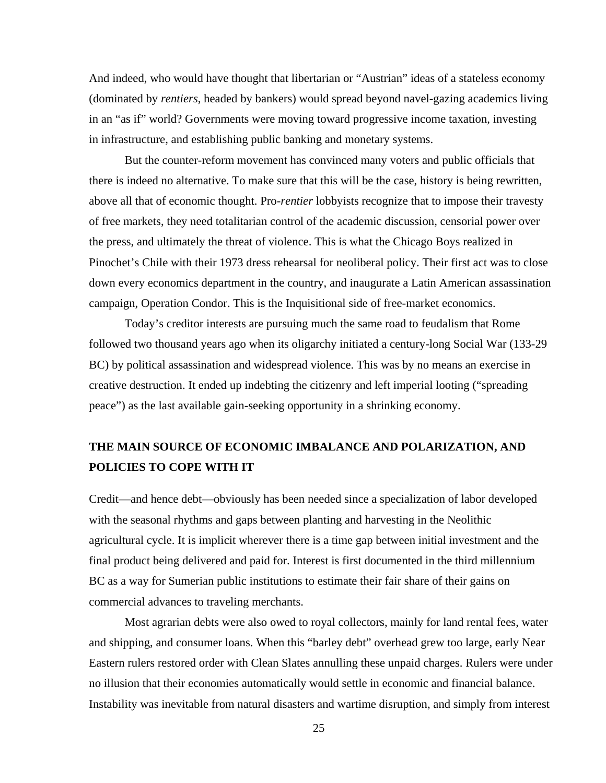And indeed, who would have thought that libertarian or "Austrian" ideas of a stateless economy (dominated by *rentiers*, headed by bankers) would spread beyond navel-gazing academics living in an "as if" world? Governments were moving toward progressive income taxation, investing in infrastructure, and establishing public banking and monetary systems.

 But the counter-reform movement has convinced many voters and public officials that there is indeed no alternative. To make sure that this will be the case, history is being rewritten, above all that of economic thought. Pro-*rentier* lobbyists recognize that to impose their travesty of free markets, they need totalitarian control of the academic discussion, censorial power over the press, and ultimately the threat of violence. This is what the Chicago Boys realized in Pinochet's Chile with their 1973 dress rehearsal for neoliberal policy. Their first act was to close down every economics department in the country, and inaugurate a Latin American assassination campaign, Operation Condor. This is the Inquisitional side of free-market economics.

 Today's creditor interests are pursuing much the same road to feudalism that Rome followed two thousand years ago when its oligarchy initiated a century-long Social War (133-29 BC) by political assassination and widespread violence. This was by no means an exercise in creative destruction. It ended up indebting the citizenry and left imperial looting ("spreading peace") as the last available gain-seeking opportunity in a shrinking economy.

## **THE MAIN SOURCE OF ECONOMIC IMBALANCE AND POLARIZATION, AND POLICIES TO COPE WITH IT**

Credit—and hence debt—obviously has been needed since a specialization of labor developed with the seasonal rhythms and gaps between planting and harvesting in the Neolithic agricultural cycle. It is implicit wherever there is a time gap between initial investment and the final product being delivered and paid for. Interest is first documented in the third millennium BC as a way for Sumerian public institutions to estimate their fair share of their gains on commercial advances to traveling merchants.

 Most agrarian debts were also owed to royal collectors, mainly for land rental fees, water and shipping, and consumer loans. When this "barley debt" overhead grew too large, early Near Eastern rulers restored order with Clean Slates annulling these unpaid charges. Rulers were under no illusion that their economies automatically would settle in economic and financial balance. Instability was inevitable from natural disasters and wartime disruption, and simply from interest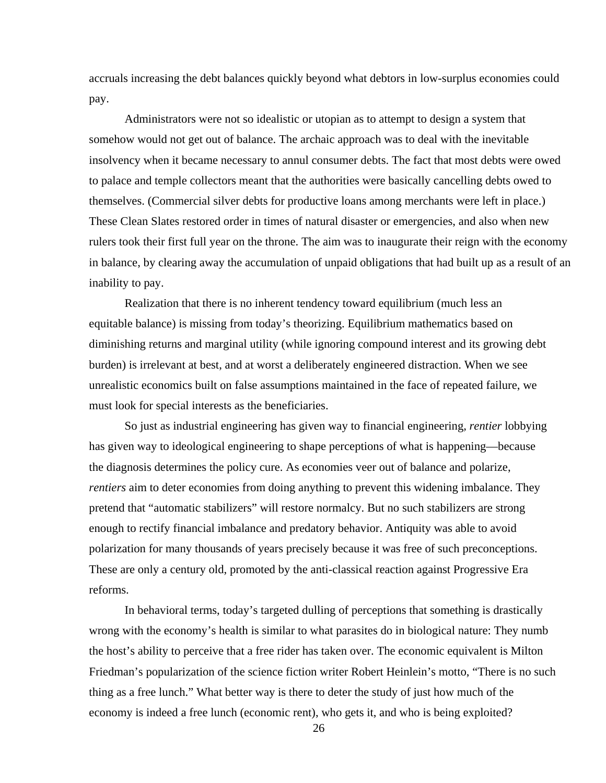accruals increasing the debt balances quickly beyond what debtors in low-surplus economies could pay.

 Administrators were not so idealistic or utopian as to attempt to design a system that somehow would not get out of balance. The archaic approach was to deal with the inevitable insolvency when it became necessary to annul consumer debts. The fact that most debts were owed to palace and temple collectors meant that the authorities were basically cancelling debts owed to themselves. (Commercial silver debts for productive loans among merchants were left in place.) These Clean Slates restored order in times of natural disaster or emergencies, and also when new rulers took their first full year on the throne. The aim was to inaugurate their reign with the economy in balance, by clearing away the accumulation of unpaid obligations that had built up as a result of an inability to pay.

 Realization that there is no inherent tendency toward equilibrium (much less an equitable balance) is missing from today's theorizing. Equilibrium mathematics based on diminishing returns and marginal utility (while ignoring compound interest and its growing debt burden) is irrelevant at best, and at worst a deliberately engineered distraction. When we see unrealistic economics built on false assumptions maintained in the face of repeated failure, we must look for special interests as the beneficiaries.

 So just as industrial engineering has given way to financial engineering, *rentier* lobbying has given way to ideological engineering to shape perceptions of what is happening—because the diagnosis determines the policy cure. As economies veer out of balance and polarize, *rentiers* aim to deter economies from doing anything to prevent this widening imbalance. They pretend that "automatic stabilizers" will restore normalcy. But no such stabilizers are strong enough to rectify financial imbalance and predatory behavior. Antiquity was able to avoid polarization for many thousands of years precisely because it was free of such preconceptions. These are only a century old, promoted by the anti-classical reaction against Progressive Era reforms.

 In behavioral terms, today's targeted dulling of perceptions that something is drastically wrong with the economy's health is similar to what parasites do in biological nature: They numb the host's ability to perceive that a free rider has taken over. The economic equivalent is Milton Friedman's popularization of the science fiction writer Robert Heinlein's motto, "There is no such thing as a free lunch." What better way is there to deter the study of just how much of the economy is indeed a free lunch (economic rent), who gets it, and who is being exploited?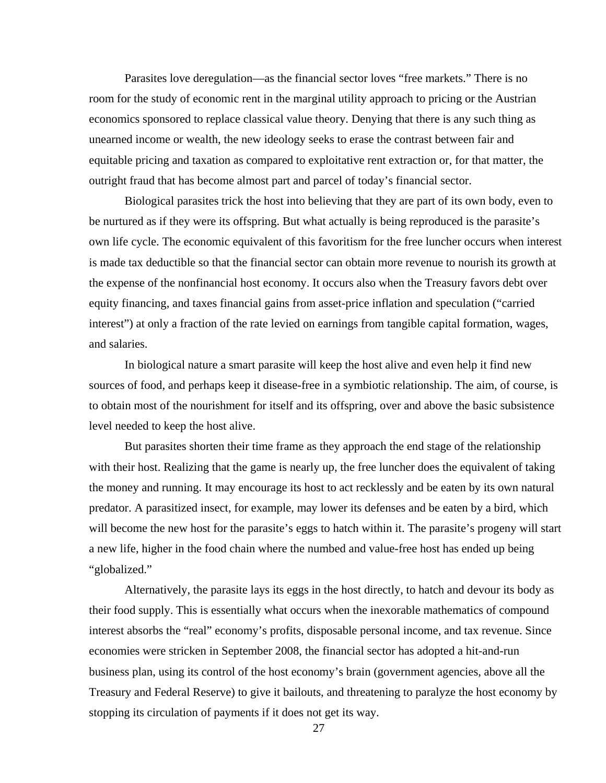Parasites love deregulation—as the financial sector loves "free markets." There is no room for the study of economic rent in the marginal utility approach to pricing or the Austrian economics sponsored to replace classical value theory. Denying that there is any such thing as unearned income or wealth, the new ideology seeks to erase the contrast between fair and equitable pricing and taxation as compared to exploitative rent extraction or, for that matter, the outright fraud that has become almost part and parcel of today's financial sector.

 Biological parasites trick the host into believing that they are part of its own body, even to be nurtured as if they were its offspring. But what actually is being reproduced is the parasite's own life cycle. The economic equivalent of this favoritism for the free luncher occurs when interest is made tax deductible so that the financial sector can obtain more revenue to nourish its growth at the expense of the nonfinancial host economy. It occurs also when the Treasury favors debt over equity financing, and taxes financial gains from asset-price inflation and speculation ("carried interest") at only a fraction of the rate levied on earnings from tangible capital formation, wages, and salaries.

 In biological nature a smart parasite will keep the host alive and even help it find new sources of food, and perhaps keep it disease-free in a symbiotic relationship. The aim, of course, is to obtain most of the nourishment for itself and its offspring, over and above the basic subsistence level needed to keep the host alive.

 But parasites shorten their time frame as they approach the end stage of the relationship with their host. Realizing that the game is nearly up, the free luncher does the equivalent of taking the money and running. It may encourage its host to act recklessly and be eaten by its own natural predator. A parasitized insect, for example, may lower its defenses and be eaten by a bird, which will become the new host for the parasite's eggs to hatch within it. The parasite's progeny will start a new life, higher in the food chain where the numbed and value-free host has ended up being "globalized."

 Alternatively, the parasite lays its eggs in the host directly, to hatch and devour its body as their food supply. This is essentially what occurs when the inexorable mathematics of compound interest absorbs the "real" economy's profits, disposable personal income, and tax revenue. Since economies were stricken in September 2008, the financial sector has adopted a hit-and-run business plan, using its control of the host economy's brain (government agencies, above all the Treasury and Federal Reserve) to give it bailouts, and threatening to paralyze the host economy by stopping its circulation of payments if it does not get its way.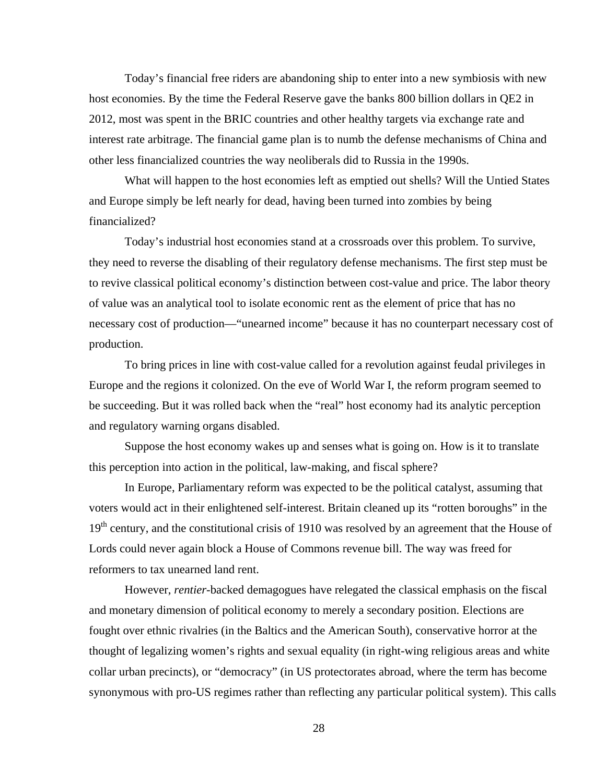Today's financial free riders are abandoning ship to enter into a new symbiosis with new host economies. By the time the Federal Reserve gave the banks 800 billion dollars in QE2 in 2012, most was spent in the BRIC countries and other healthy targets via exchange rate and interest rate arbitrage. The financial game plan is to numb the defense mechanisms of China and other less financialized countries the way neoliberals did to Russia in the 1990s.

 What will happen to the host economies left as emptied out shells? Will the Untied States and Europe simply be left nearly for dead, having been turned into zombies by being financialized?

 Today's industrial host economies stand at a crossroads over this problem. To survive, they need to reverse the disabling of their regulatory defense mechanisms. The first step must be to revive classical political economy's distinction between cost-value and price. The labor theory of value was an analytical tool to isolate economic rent as the element of price that has no necessary cost of production—"unearned income" because it has no counterpart necessary cost of production.

 To bring prices in line with cost-value called for a revolution against feudal privileges in Europe and the regions it colonized. On the eve of World War I, the reform program seemed to be succeeding. But it was rolled back when the "real" host economy had its analytic perception and regulatory warning organs disabled.

 Suppose the host economy wakes up and senses what is going on. How is it to translate this perception into action in the political, law-making, and fiscal sphere?

 In Europe, Parliamentary reform was expected to be the political catalyst, assuming that voters would act in their enlightened self-interest. Britain cleaned up its "rotten boroughs" in the  $19<sup>th</sup>$  century, and the constitutional crisis of 1910 was resolved by an agreement that the House of Lords could never again block a House of Commons revenue bill. The way was freed for reformers to tax unearned land rent.

 However, *rentier*-backed demagogues have relegated the classical emphasis on the fiscal and monetary dimension of political economy to merely a secondary position. Elections are fought over ethnic rivalries (in the Baltics and the American South), conservative horror at the thought of legalizing women's rights and sexual equality (in right-wing religious areas and white collar urban precincts), or "democracy" (in US protectorates abroad, where the term has become synonymous with pro-US regimes rather than reflecting any particular political system). This calls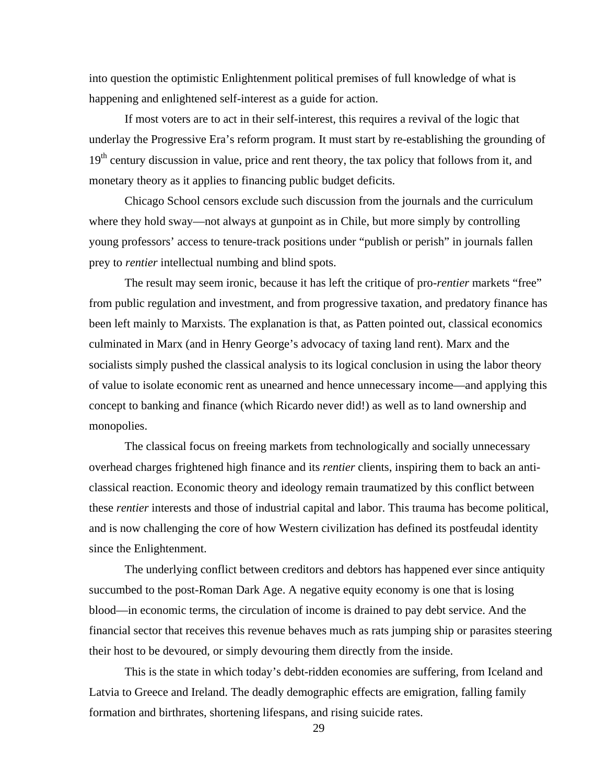into question the optimistic Enlightenment political premises of full knowledge of what is happening and enlightened self-interest as a guide for action.

 If most voters are to act in their self-interest, this requires a revival of the logic that underlay the Progressive Era's reform program. It must start by re-establishing the grounding of 19<sup>th</sup> century discussion in value, price and rent theory, the tax policy that follows from it, and monetary theory as it applies to financing public budget deficits.

 Chicago School censors exclude such discussion from the journals and the curriculum where they hold sway—not always at gunpoint as in Chile, but more simply by controlling young professors' access to tenure-track positions under "publish or perish" in journals fallen prey to *rentier* intellectual numbing and blind spots.

 The result may seem ironic, because it has left the critique of pro-*rentier* markets "free" from public regulation and investment, and from progressive taxation, and predatory finance has been left mainly to Marxists. The explanation is that, as Patten pointed out, classical economics culminated in Marx (and in Henry George's advocacy of taxing land rent). Marx and the socialists simply pushed the classical analysis to its logical conclusion in using the labor theory of value to isolate economic rent as unearned and hence unnecessary income—and applying this concept to banking and finance (which Ricardo never did!) as well as to land ownership and monopolies.

 The classical focus on freeing markets from technologically and socially unnecessary overhead charges frightened high finance and its *rentier* clients, inspiring them to back an anticlassical reaction. Economic theory and ideology remain traumatized by this conflict between these *rentier* interests and those of industrial capital and labor. This trauma has become political, and is now challenging the core of how Western civilization has defined its postfeudal identity since the Enlightenment.

 The underlying conflict between creditors and debtors has happened ever since antiquity succumbed to the post-Roman Dark Age. A negative equity economy is one that is losing blood—in economic terms, the circulation of income is drained to pay debt service. And the financial sector that receives this revenue behaves much as rats jumping ship or parasites steering their host to be devoured, or simply devouring them directly from the inside.

 This is the state in which today's debt-ridden economies are suffering, from Iceland and Latvia to Greece and Ireland. The deadly demographic effects are emigration, falling family formation and birthrates, shortening lifespans, and rising suicide rates.